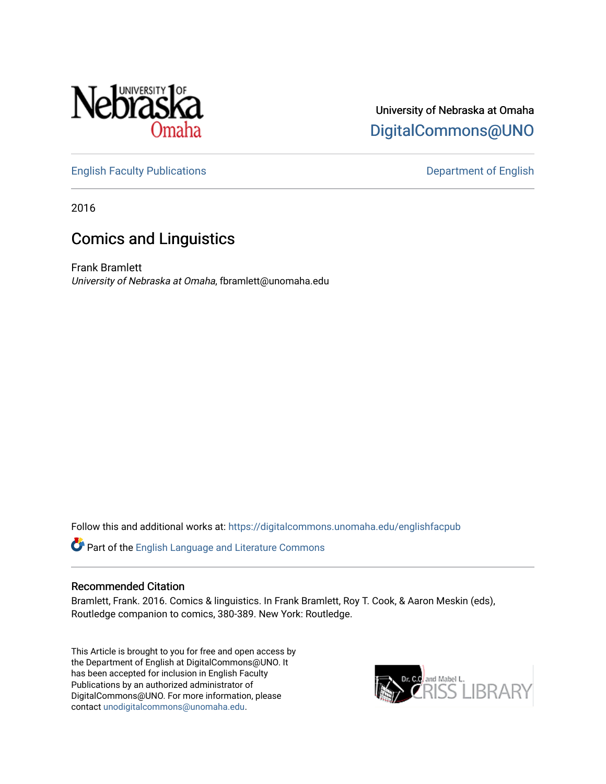

# University of Nebraska at Omaha [DigitalCommons@UNO](https://digitalcommons.unomaha.edu/)

[English Faculty Publications](https://digitalcommons.unomaha.edu/englishfacpub) **English** Department of English

2016

# Comics and Linguistics

Frank Bramlett University of Nebraska at Omaha, fbramlett@unomaha.edu

Follow this and additional works at: [https://digitalcommons.unomaha.edu/englishfacpub](https://digitalcommons.unomaha.edu/englishfacpub?utm_source=digitalcommons.unomaha.edu%2Fenglishfacpub%2F76&utm_medium=PDF&utm_campaign=PDFCoverPages) 

Part of the [English Language and Literature Commons](http://network.bepress.com/hgg/discipline/455?utm_source=digitalcommons.unomaha.edu%2Fenglishfacpub%2F76&utm_medium=PDF&utm_campaign=PDFCoverPages)

### Recommended Citation

Bramlett, Frank. 2016. Comics & linguistics. In Frank Bramlett, Roy T. Cook, & Aaron Meskin (eds), Routledge companion to comics, 380-389. New York: Routledge.

This Article is brought to you for free and open access by the Department of English at DigitalCommons@UNO. It has been accepted for inclusion in English Faculty Publications by an authorized administrator of DigitalCommons@UNO. For more information, please contact [unodigitalcommons@unomaha.edu](mailto:unodigitalcommons@unomaha.edu).

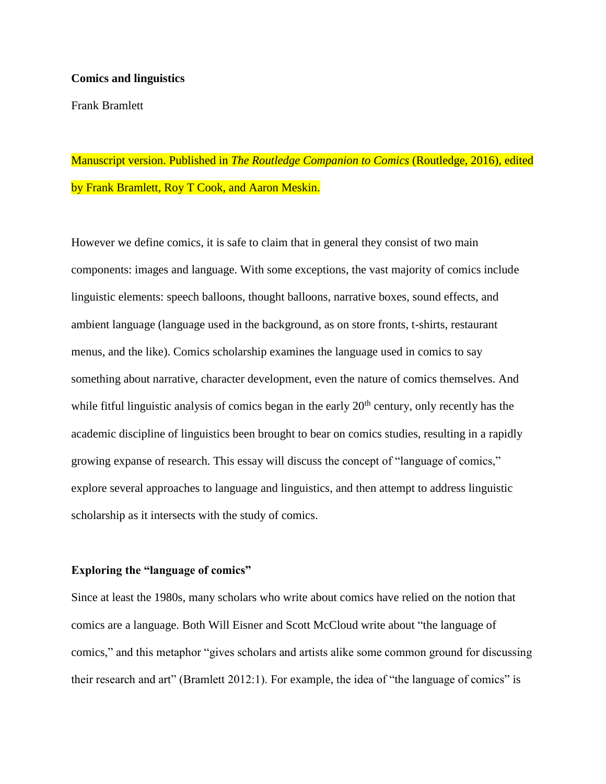## **Comics and linguistics**

Frank Bramlett

# Manuscript version. Published in *The Routledge Companion to Comics* (Routledge, 2016), edited by Frank Bramlett, Roy T Cook, and Aaron Meskin.

However we define comics, it is safe to claim that in general they consist of two main components: images and language. With some exceptions, the vast majority of comics include linguistic elements: speech balloons, thought balloons, narrative boxes, sound effects, and ambient language (language used in the background, as on store fronts, t-shirts, restaurant menus, and the like). Comics scholarship examines the language used in comics to say something about narrative, character development, even the nature of comics themselves. And while fitful linguistic analysis of comics began in the early  $20<sup>th</sup>$  century, only recently has the academic discipline of linguistics been brought to bear on comics studies, resulting in a rapidly growing expanse of research. This essay will discuss the concept of "language of comics," explore several approaches to language and linguistics, and then attempt to address linguistic scholarship as it intersects with the study of comics.

#### **Exploring the "language of comics"**

Since at least the 1980s, many scholars who write about comics have relied on the notion that comics are a language. Both Will Eisner and Scott McCloud write about "the language of comics," and this metaphor "gives scholars and artists alike some common ground for discussing their research and art" (Bramlett 2012:1). For example, the idea of "the language of comics" is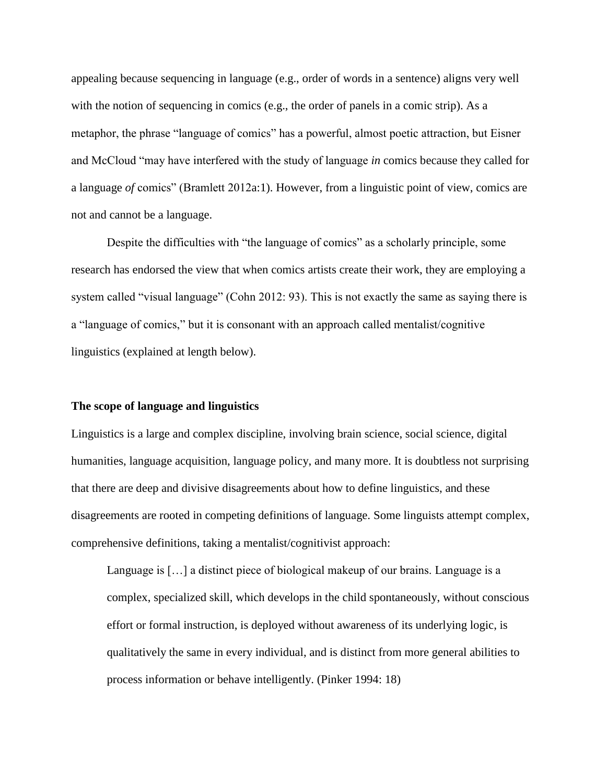appealing because sequencing in language (e.g., order of words in a sentence) aligns very well with the notion of sequencing in comics (e.g., the order of panels in a comic strip). As a metaphor, the phrase "language of comics" has a powerful, almost poetic attraction, but Eisner and McCloud "may have interfered with the study of language *in* comics because they called for a language *of* comics" (Bramlett 2012a:1). However, from a linguistic point of view, comics are not and cannot be a language.

Despite the difficulties with "the language of comics" as a scholarly principle, some research has endorsed the view that when comics artists create their work, they are employing a system called "visual language" (Cohn 2012: 93). This is not exactly the same as saying there is a "language of comics," but it is consonant with an approach called mentalist/cognitive linguistics (explained at length below).

#### **The scope of language and linguistics**

Linguistics is a large and complex discipline, involving brain science, social science, digital humanities, language acquisition, language policy, and many more. It is doubtless not surprising that there are deep and divisive disagreements about how to define linguistics, and these disagreements are rooted in competing definitions of language. Some linguists attempt complex, comprehensive definitions, taking a mentalist/cognitivist approach:

Language is […] a distinct piece of biological makeup of our brains. Language is a complex, specialized skill, which develops in the child spontaneously, without conscious effort or formal instruction, is deployed without awareness of its underlying logic, is qualitatively the same in every individual, and is distinct from more general abilities to process information or behave intelligently. (Pinker 1994: 18)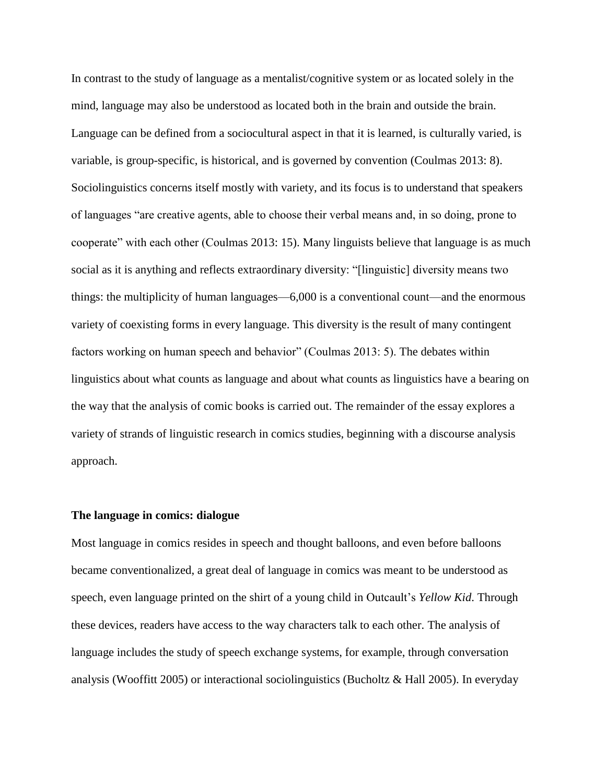In contrast to the study of language as a mentalist/cognitive system or as located solely in the mind, language may also be understood as located both in the brain and outside the brain. Language can be defined from a sociocultural aspect in that it is learned, is culturally varied, is variable, is group-specific, is historical, and is governed by convention (Coulmas 2013: 8). Sociolinguistics concerns itself mostly with variety, and its focus is to understand that speakers of languages "are creative agents, able to choose their verbal means and, in so doing, prone to cooperate" with each other (Coulmas 2013: 15). Many linguists believe that language is as much social as it is anything and reflects extraordinary diversity: "[linguistic] diversity means two things: the multiplicity of human languages—6,000 is a conventional count—and the enormous variety of coexisting forms in every language. This diversity is the result of many contingent factors working on human speech and behavior" (Coulmas 2013: 5). The debates within linguistics about what counts as language and about what counts as linguistics have a bearing on the way that the analysis of comic books is carried out. The remainder of the essay explores a variety of strands of linguistic research in comics studies, beginning with a discourse analysis approach.

#### **The language in comics: dialogue**

Most language in comics resides in speech and thought balloons, and even before balloons became conventionalized, a great deal of language in comics was meant to be understood as speech, even language printed on the shirt of a young child in Outcault's *Yellow Kid*. Through these devices, readers have access to the way characters talk to each other. The analysis of language includes the study of speech exchange systems, for example, through conversation analysis (Wooffitt 2005) or interactional sociolinguistics (Bucholtz & Hall 2005). In everyday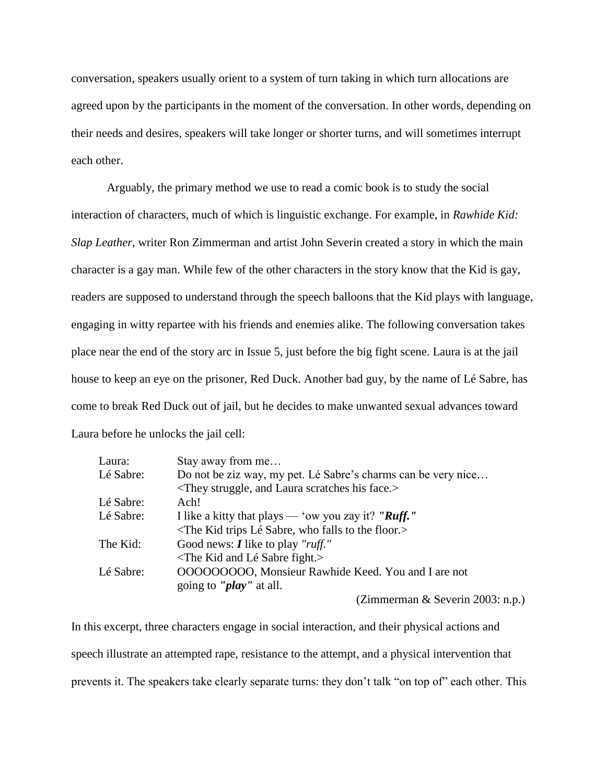conversation, speakers usually orient to a system of turn taking in which turn allocations are agreed upon by the participants in the moment of the conversation. In other words, depending on their needs and desires, speakers will take longer or shorter turns, and will sometimes interrupt each other.

Arguably, the primary method we use to read a comic book is to study the social interaction of characters, much of which is linguistic exchange. For example, in *Rawhide Kid: Slap Leather*, writer Ron Zimmerman and artist John Severin created a story in which the main character is a gay man. While few of the other characters in the story know that the Kid is gay, readers are supposed to understand through the speech balloons that the Kid plays with language, engaging in witty repartee with his friends and enemies alike. The following conversation takes place near the end of the story arc in Issue 5, just before the big fight scene. Laura is at the jail house to keep an eye on the prisoner, Red Duck. Another bad guy, by the name of Lé Sabre, has come to break Red Duck out of jail, but he decides to make unwanted sexual advances toward Laura before he unlocks the jail cell:

| Laura:    | Stay away from me                                                       |
|-----------|-------------------------------------------------------------------------|
| Lé Sabre: | Do not be ziz way, my pet. Lé Sabre's charms can be very nice           |
|           | <they and="" face.="" his="" laura="" scratches="" struggle,=""></they> |
| Lé Sabre: | Ach!                                                                    |
| Lé Sabre: | I like a kitty that plays — 'ow you zay it? "Ruff."                     |
|           | $\le$ The Kid trips Lé Sabre, who falls to the floor.>                  |
| The Kid:  | Good news: $I$ like to play "ruff."                                     |
|           | $\le$ The Kid and Lé Sabre fight. $>$                                   |
| Lé Sabre: | OOOOOOOOO, Monsieur Rawhide Keed. You and I are not                     |
|           | going to " <i>play</i> " at all.                                        |
|           | (Zimmerman $&$ Severin 2003: n.p.)                                      |

In this excerpt, three characters engage in social interaction, and their physical actions and speech illustrate an attempted rape, resistance to the attempt, and a physical intervention that prevents it. The speakers take clearly separate turns: they don't talk "on top of" each other. This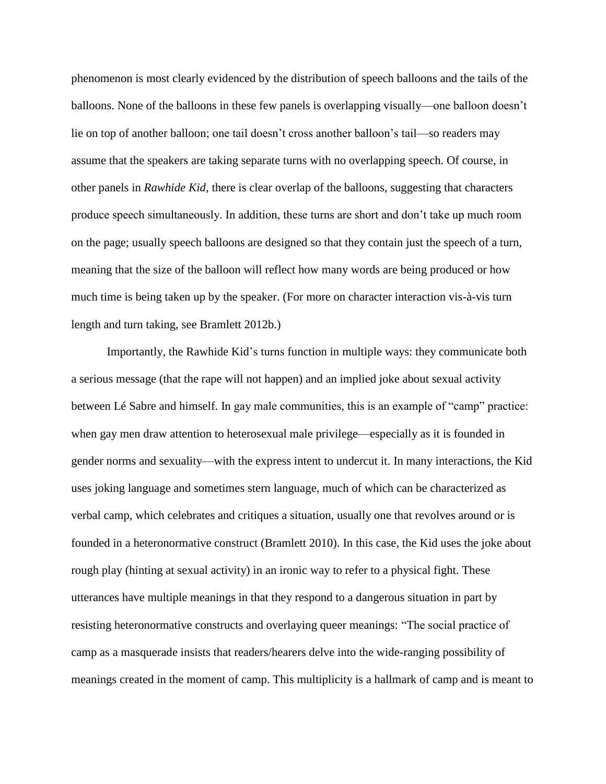phenomenon is most clearly evidenced by the distribution of speech balloons and the tails of the balloons. None of the balloons in these few panels is overlapping visually—one balloon doesn't lie on top of another balloon; one tail doesn't cross another balloon's tail—so readers may assume that the speakers are taking separate turns with no overlapping speech. Of course, in other panels in *Rawhide Kid*, there is clear overlap of the balloons, suggesting that characters produce speech simultaneously. In addition, these turns are short and don't take up much room on the page; usually speech balloons are designed so that they contain just the speech of a turn, meaning that the size of the balloon will reflect how many words are being produced or how much time is being taken up by the speaker. (For more on character interaction vis-à-vis turn length and turn taking, see Bramlett 2012b.)

Importantly, the Rawhide Kid's turns function in multiple ways: they communicate both a serious message (that the rape will not happen) and an implied joke about sexual activity between Lé Sabre and himself. In gay male communities, this is an example of "camp" practice: when gay men draw attention to heterosexual male privilege—especially as it is founded in gender norms and sexuality—with the express intent to undercut it. In many interactions, the Kid uses joking language and sometimes stern language, much of which can be characterized as verbal camp, which celebrates and critiques a situation, usually one that revolves around or is founded in a heteronormative construct (Bramlett 2010). In this case, the Kid uses the joke about rough play (hinting at sexual activity) in an ironic way to refer to a physical fight. These utterances have multiple meanings in that they respond to a dangerous situation in part by resisting heteronormative constructs and overlaying queer meanings: "The social practice of camp as a masquerade insists that readers/hearers delve into the wide-ranging possibility of meanings created in the moment of camp. This multiplicity is a hallmark of camp and is meant to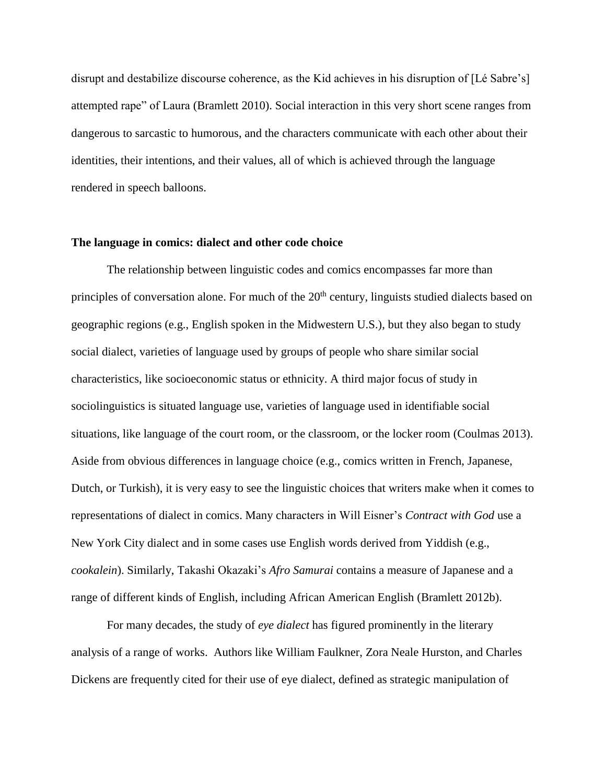disrupt and destabilize discourse coherence, as the Kid achieves in his disruption of [Lé Sabre's] attempted rape" of Laura (Bramlett 2010). Social interaction in this very short scene ranges from dangerous to sarcastic to humorous, and the characters communicate with each other about their identities, their intentions, and their values, all of which is achieved through the language rendered in speech balloons.

#### **The language in comics: dialect and other code choice**

The relationship between linguistic codes and comics encompasses far more than principles of conversation alone. For much of the  $20<sup>th</sup>$  century, linguists studied dialects based on geographic regions (e.g., English spoken in the Midwestern U.S.), but they also began to study social dialect, varieties of language used by groups of people who share similar social characteristics, like socioeconomic status or ethnicity. A third major focus of study in sociolinguistics is situated language use, varieties of language used in identifiable social situations, like language of the court room, or the classroom, or the locker room (Coulmas 2013). Aside from obvious differences in language choice (e.g., comics written in French, Japanese, Dutch, or Turkish), it is very easy to see the linguistic choices that writers make when it comes to representations of dialect in comics. Many characters in Will Eisner's *Contract with God* use a New York City dialect and in some cases use English words derived from Yiddish (e.g., *cookalein*). Similarly, Takashi Okazaki's *Afro Samurai* contains a measure of Japanese and a range of different kinds of English, including African American English (Bramlett 2012b).

For many decades, the study of *eye dialect* has figured prominently in the literary analysis of a range of works. Authors like William Faulkner, Zora Neale Hurston, and Charles Dickens are frequently cited for their use of eye dialect, defined as strategic manipulation of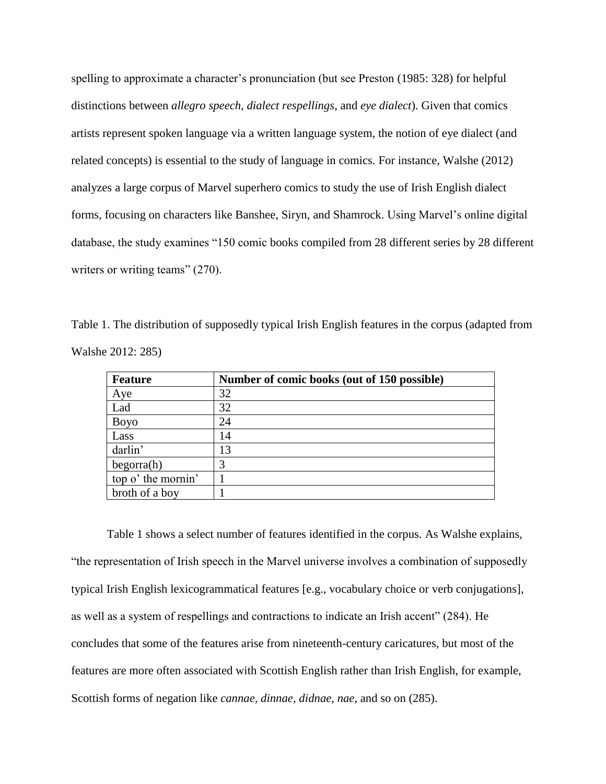spelling to approximate a character's pronunciation (but see Preston (1985: 328) for helpful distinctions between *allegro speech*, *dialect respellings*, and *eye dialect*). Given that comics artists represent spoken language via a written language system, the notion of eye dialect (and related concepts) is essential to the study of language in comics. For instance, Walshe (2012) analyzes a large corpus of Marvel superhero comics to study the use of Irish English dialect forms, focusing on characters like Banshee, Siryn, and Shamrock. Using Marvel's online digital database, the study examines "150 comic books compiled from 28 different series by 28 different writers or writing teams" (270).

Table 1. The distribution of supposedly typical Irish English features in the corpus (adapted from Walshe 2012: 285)

| <b>Feature</b>                                | Number of comic books (out of 150 possible) |
|-----------------------------------------------|---------------------------------------------|
| Aye                                           | 32                                          |
| Lad                                           | 32                                          |
| <b>Boyo</b>                                   | 24                                          |
| Lass                                          | 14                                          |
| darlin'                                       | 13                                          |
| $begin{bmatrix} a & b \\ c & d \end{bmatrix}$ | 3                                           |
| top o' the mornin'                            |                                             |
| broth of a boy                                |                                             |

Table 1 shows a select number of features identified in the corpus. As Walshe explains, "the representation of Irish speech in the Marvel universe involves a combination of supposedly typical Irish English lexicogrammatical features [e.g., vocabulary choice or verb conjugations], as well as a system of respellings and contractions to indicate an Irish accent" (284). He concludes that some of the features arise from nineteenth-century caricatures, but most of the features are more often associated with Scottish English rather than Irish English, for example, Scottish forms of negation like *cannae, dinnae, didnae, nae*, and so on (285).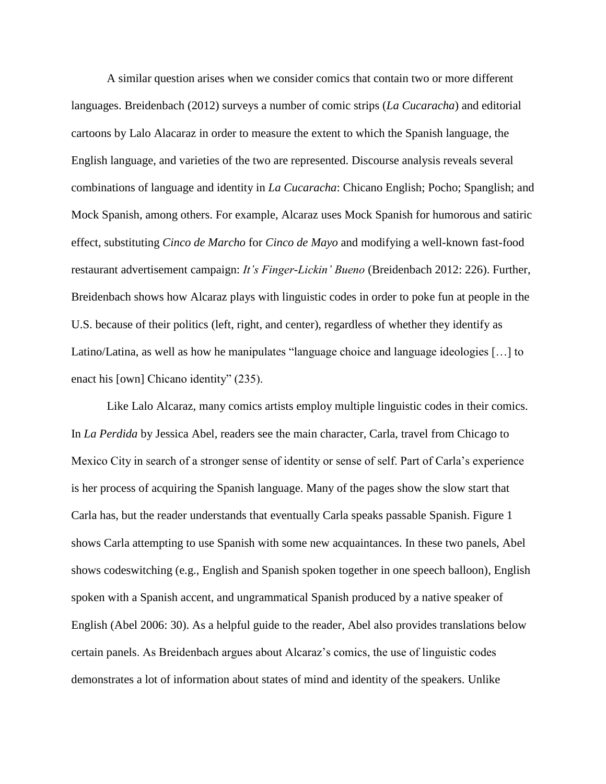A similar question arises when we consider comics that contain two or more different languages. Breidenbach (2012) surveys a number of comic strips (*La Cucaracha*) and editorial cartoons by Lalo Alacaraz in order to measure the extent to which the Spanish language, the English language, and varieties of the two are represented. Discourse analysis reveals several combinations of language and identity in *La Cucaracha*: Chicano English; Pocho; Spanglish; and Mock Spanish, among others. For example, Alcaraz uses Mock Spanish for humorous and satiric effect, substituting *Cinco de Marcho* for *Cinco de Mayo* and modifying a well-known fast-food restaurant advertisement campaign: *It's Finger-Lickin' Bueno* (Breidenbach 2012: 226). Further, Breidenbach shows how Alcaraz plays with linguistic codes in order to poke fun at people in the U.S. because of their politics (left, right, and center), regardless of whether they identify as Latino/Latina, as well as how he manipulates "language choice and language ideologies […] to enact his [own] Chicano identity" (235).

Like Lalo Alcaraz, many comics artists employ multiple linguistic codes in their comics. In *La Perdida* by Jessica Abel, readers see the main character, Carla, travel from Chicago to Mexico City in search of a stronger sense of identity or sense of self. Part of Carla's experience is her process of acquiring the Spanish language. Many of the pages show the slow start that Carla has, but the reader understands that eventually Carla speaks passable Spanish. Figure 1 shows Carla attempting to use Spanish with some new acquaintances. In these two panels, Abel shows codeswitching (e.g., English and Spanish spoken together in one speech balloon), English spoken with a Spanish accent, and ungrammatical Spanish produced by a native speaker of English (Abel 2006: 30). As a helpful guide to the reader, Abel also provides translations below certain panels. As Breidenbach argues about Alcaraz's comics, the use of linguistic codes demonstrates a lot of information about states of mind and identity of the speakers. Unlike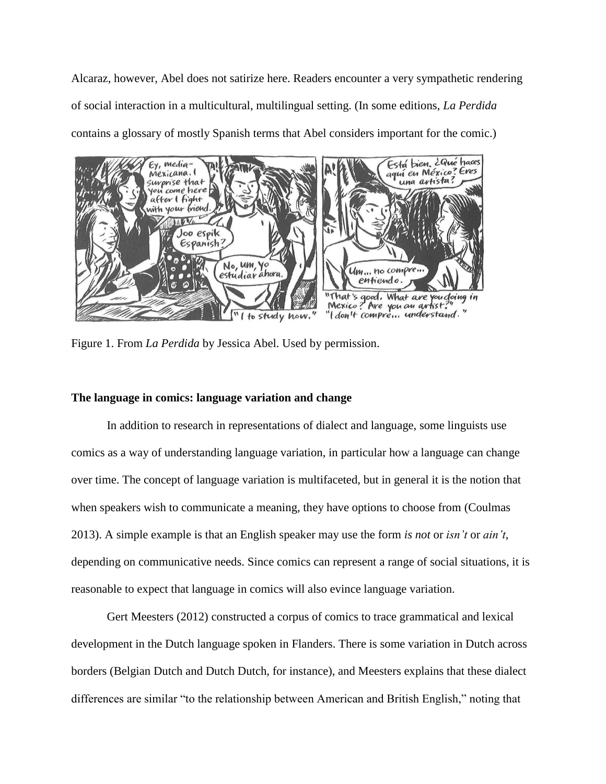Alcaraz, however, Abel does not satirize here. Readers encounter a very sympathetic rendering of social interaction in a multicultural, multilingual setting. (In some editions, *La Perdida* contains a glossary of mostly Spanish terms that Abel considers important for the comic.)



Figure 1. From *La Perdida* by Jessica Abel. Used by permission.

### **The language in comics: language variation and change**

In addition to research in representations of dialect and language, some linguists use comics as a way of understanding language variation, in particular how a language can change over time. The concept of language variation is multifaceted, but in general it is the notion that when speakers wish to communicate a meaning, they have options to choose from (Coulmas 2013). A simple example is that an English speaker may use the form *is not* or *isn't* or *ain't*, depending on communicative needs. Since comics can represent a range of social situations, it is reasonable to expect that language in comics will also evince language variation.

Gert Meesters (2012) constructed a corpus of comics to trace grammatical and lexical development in the Dutch language spoken in Flanders. There is some variation in Dutch across borders (Belgian Dutch and Dutch Dutch, for instance), and Meesters explains that these dialect differences are similar "to the relationship between American and British English," noting that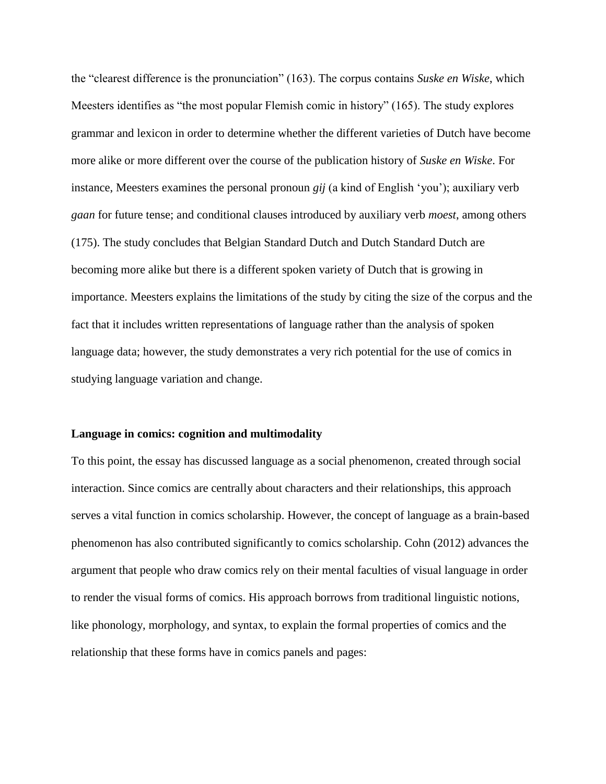the "clearest difference is the pronunciation" (163). The corpus contains *Suske en Wiske*, which Meesters identifies as "the most popular Flemish comic in history" (165). The study explores grammar and lexicon in order to determine whether the different varieties of Dutch have become more alike or more different over the course of the publication history of *Suske en Wiske*. For instance, Meesters examines the personal pronoun *gij* (a kind of English 'you'); auxiliary verb *gaan* for future tense; and conditional clauses introduced by auxiliary verb *moest*, among others (175). The study concludes that Belgian Standard Dutch and Dutch Standard Dutch are becoming more alike but there is a different spoken variety of Dutch that is growing in importance. Meesters explains the limitations of the study by citing the size of the corpus and the fact that it includes written representations of language rather than the analysis of spoken language data; however, the study demonstrates a very rich potential for the use of comics in studying language variation and change.

#### **Language in comics: cognition and multimodality**

To this point, the essay has discussed language as a social phenomenon, created through social interaction. Since comics are centrally about characters and their relationships, this approach serves a vital function in comics scholarship. However, the concept of language as a brain-based phenomenon has also contributed significantly to comics scholarship. Cohn (2012) advances the argument that people who draw comics rely on their mental faculties of visual language in order to render the visual forms of comics. His approach borrows from traditional linguistic notions, like phonology, morphology, and syntax, to explain the formal properties of comics and the relationship that these forms have in comics panels and pages: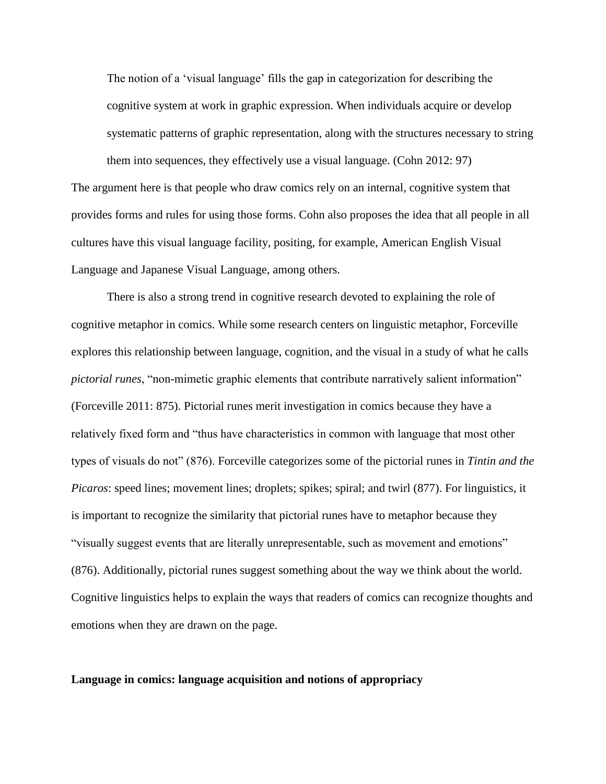The notion of a 'visual language' fills the gap in categorization for describing the cognitive system at work in graphic expression. When individuals acquire or develop systematic patterns of graphic representation, along with the structures necessary to string them into sequences, they effectively use a visual language. (Cohn 2012: 97)

The argument here is that people who draw comics rely on an internal, cognitive system that provides forms and rules for using those forms. Cohn also proposes the idea that all people in all cultures have this visual language facility, positing, for example, American English Visual Language and Japanese Visual Language, among others.

There is also a strong trend in cognitive research devoted to explaining the role of cognitive metaphor in comics. While some research centers on linguistic metaphor, Forceville explores this relationship between language, cognition, and the visual in a study of what he calls *pictorial runes*, "non-mimetic graphic elements that contribute narratively salient information" (Forceville 2011: 875). Pictorial runes merit investigation in comics because they have a relatively fixed form and "thus have characteristics in common with language that most other types of visuals do not" (876). Forceville categorizes some of the pictorial runes in *Tintin and the Picaros*: speed lines; movement lines; droplets; spikes; spiral; and twirl (877). For linguistics, it is important to recognize the similarity that pictorial runes have to metaphor because they "visually suggest events that are literally unrepresentable, such as movement and emotions" (876). Additionally, pictorial runes suggest something about the way we think about the world. Cognitive linguistics helps to explain the ways that readers of comics can recognize thoughts and emotions when they are drawn on the page.

#### **Language in comics: language acquisition and notions of appropriacy**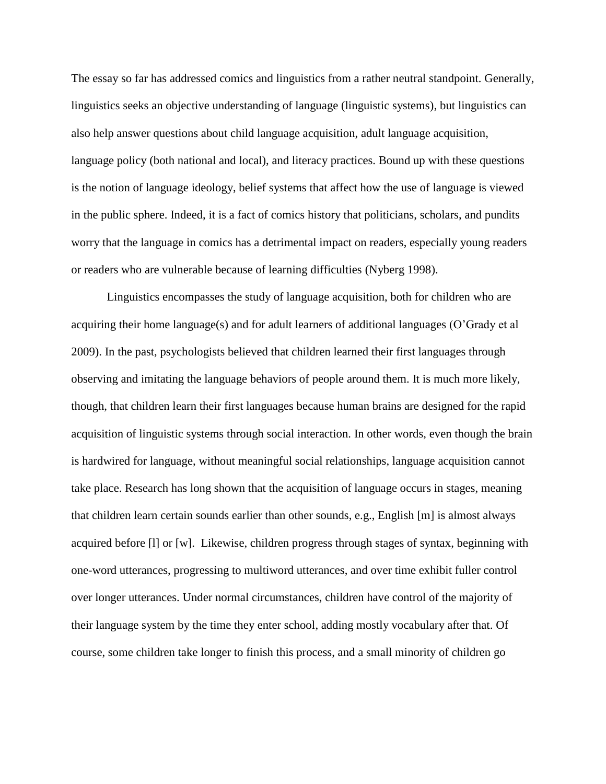The essay so far has addressed comics and linguistics from a rather neutral standpoint. Generally, linguistics seeks an objective understanding of language (linguistic systems), but linguistics can also help answer questions about child language acquisition, adult language acquisition, language policy (both national and local), and literacy practices. Bound up with these questions is the notion of language ideology, belief systems that affect how the use of language is viewed in the public sphere. Indeed, it is a fact of comics history that politicians, scholars, and pundits worry that the language in comics has a detrimental impact on readers, especially young readers or readers who are vulnerable because of learning difficulties (Nyberg 1998).

Linguistics encompasses the study of language acquisition, both for children who are acquiring their home language(s) and for adult learners of additional languages (O'Grady et al 2009). In the past, psychologists believed that children learned their first languages through observing and imitating the language behaviors of people around them. It is much more likely, though, that children learn their first languages because human brains are designed for the rapid acquisition of linguistic systems through social interaction. In other words, even though the brain is hardwired for language, without meaningful social relationships, language acquisition cannot take place. Research has long shown that the acquisition of language occurs in stages, meaning that children learn certain sounds earlier than other sounds, e.g., English [m] is almost always acquired before [l] or [w]. Likewise, children progress through stages of syntax, beginning with one-word utterances, progressing to multiword utterances, and over time exhibit fuller control over longer utterances. Under normal circumstances, children have control of the majority of their language system by the time they enter school, adding mostly vocabulary after that. Of course, some children take longer to finish this process, and a small minority of children go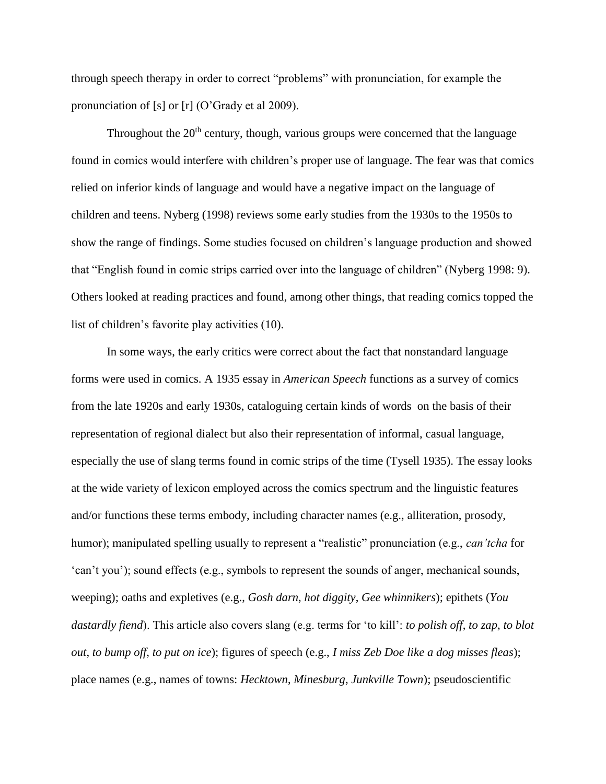through speech therapy in order to correct "problems" with pronunciation, for example the pronunciation of [s] or [r] (O'Grady et al 2009).

Throughout the  $20<sup>th</sup>$  century, though, various groups were concerned that the language found in comics would interfere with children's proper use of language. The fear was that comics relied on inferior kinds of language and would have a negative impact on the language of children and teens. Nyberg (1998) reviews some early studies from the 1930s to the 1950s to show the range of findings. Some studies focused on children's language production and showed that "English found in comic strips carried over into the language of children" (Nyberg 1998: 9). Others looked at reading practices and found, among other things, that reading comics topped the list of children's favorite play activities (10).

In some ways, the early critics were correct about the fact that nonstandard language forms were used in comics. A 1935 essay in *American Speech* functions as a survey of comics from the late 1920s and early 1930s, cataloguing certain kinds of words on the basis of their representation of regional dialect but also their representation of informal, casual language, especially the use of slang terms found in comic strips of the time (Tysell 1935). The essay looks at the wide variety of lexicon employed across the comics spectrum and the linguistic features and/or functions these terms embody, including character names (e.g., alliteration, prosody, humor); manipulated spelling usually to represent a "realistic" pronunciation (e.g., *can'tcha* for 'can't you'); sound effects (e.g., symbols to represent the sounds of anger, mechanical sounds, weeping); oaths and expletives (e.g., *Gosh darn*, *hot diggity*, *Gee whinnikers*); epithets (*You dastardly fiend*). This article also covers slang (e.g. terms for 'to kill': *to polish off*, *to zap*, *to blot out*, *to bump off*, *to put on ice*); figures of speech (e.g., *I miss Zeb Doe like a dog misses fleas*); place names (e.g., names of towns: *Hecktown*, *Minesburg*, *Junkville Town*); pseudoscientific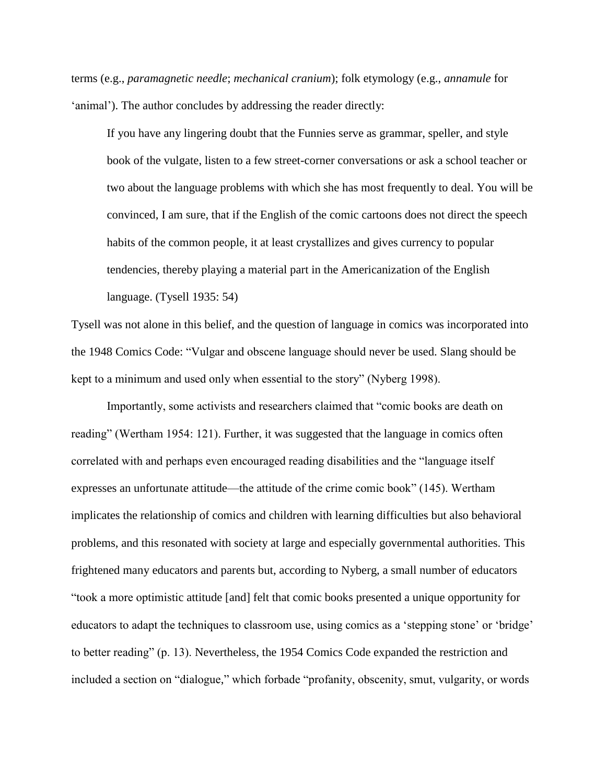terms (e.g., *paramagnetic needle*; *mechanical cranium*); folk etymology (e.g., *annamule* for 'animal'). The author concludes by addressing the reader directly:

If you have any lingering doubt that the Funnies serve as grammar, speller, and style book of the vulgate, listen to a few street-corner conversations or ask a school teacher or two about the language problems with which she has most frequently to deal. You will be convinced, I am sure, that if the English of the comic cartoons does not direct the speech habits of the common people, it at least crystallizes and gives currency to popular tendencies, thereby playing a material part in the Americanization of the English language. (Tysell 1935: 54)

Tysell was not alone in this belief, and the question of language in comics was incorporated into the 1948 Comics Code: "Vulgar and obscene language should never be used. Slang should be kept to a minimum and used only when essential to the story" (Nyberg 1998).

Importantly, some activists and researchers claimed that "comic books are death on reading" (Wertham 1954: 121). Further, it was suggested that the language in comics often correlated with and perhaps even encouraged reading disabilities and the "language itself expresses an unfortunate attitude—the attitude of the crime comic book" (145). Wertham implicates the relationship of comics and children with learning difficulties but also behavioral problems, and this resonated with society at large and especially governmental authorities. This frightened many educators and parents but, according to Nyberg, a small number of educators "took a more optimistic attitude [and] felt that comic books presented a unique opportunity for educators to adapt the techniques to classroom use, using comics as a 'stepping stone' or 'bridge' to better reading" (p. 13). Nevertheless, the 1954 Comics Code expanded the restriction and included a section on "dialogue," which forbade "profanity, obscenity, smut, vulgarity, or words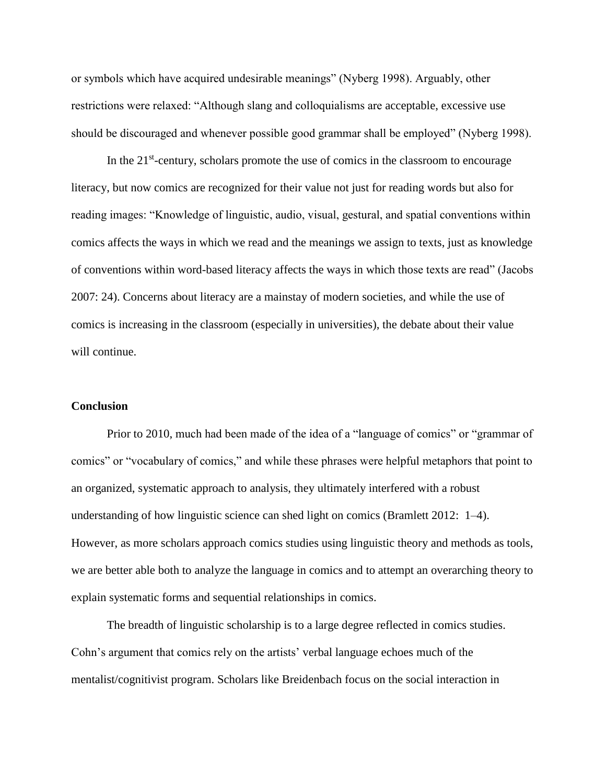or symbols which have acquired undesirable meanings" (Nyberg 1998). Arguably, other restrictions were relaxed: "Although slang and colloquialisms are acceptable, excessive use should be discouraged and whenever possible good grammar shall be employed" (Nyberg 1998).

In the  $21<sup>st</sup>$ -century, scholars promote the use of comics in the classroom to encourage literacy, but now comics are recognized for their value not just for reading words but also for reading images: "Knowledge of linguistic, audio, visual, gestural, and spatial conventions within comics affects the ways in which we read and the meanings we assign to texts, just as knowledge of conventions within word-based literacy affects the ways in which those texts are read" (Jacobs 2007: 24). Concerns about literacy are a mainstay of modern societies, and while the use of comics is increasing in the classroom (especially in universities), the debate about their value will continue.

#### **Conclusion**

Prior to 2010, much had been made of the idea of a "language of comics" or "grammar of comics" or "vocabulary of comics," and while these phrases were helpful metaphors that point to an organized, systematic approach to analysis, they ultimately interfered with a robust understanding of how linguistic science can shed light on comics (Bramlett 2012: 1–4). However, as more scholars approach comics studies using linguistic theory and methods as tools, we are better able both to analyze the language in comics and to attempt an overarching theory to explain systematic forms and sequential relationships in comics.

The breadth of linguistic scholarship is to a large degree reflected in comics studies. Cohn's argument that comics rely on the artists' verbal language echoes much of the mentalist/cognitivist program. Scholars like Breidenbach focus on the social interaction in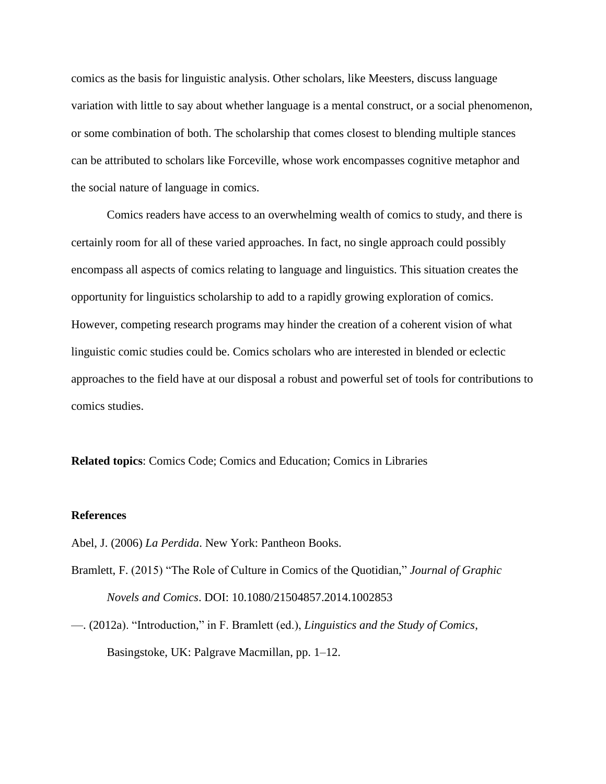comics as the basis for linguistic analysis. Other scholars, like Meesters, discuss language variation with little to say about whether language is a mental construct, or a social phenomenon, or some combination of both. The scholarship that comes closest to blending multiple stances can be attributed to scholars like Forceville, whose work encompasses cognitive metaphor and the social nature of language in comics.

Comics readers have access to an overwhelming wealth of comics to study, and there is certainly room for all of these varied approaches. In fact, no single approach could possibly encompass all aspects of comics relating to language and linguistics. This situation creates the opportunity for linguistics scholarship to add to a rapidly growing exploration of comics. However, competing research programs may hinder the creation of a coherent vision of what linguistic comic studies could be. Comics scholars who are interested in blended or eclectic approaches to the field have at our disposal a robust and powerful set of tools for contributions to comics studies.

**Related topics**: Comics Code; Comics and Education; Comics in Libraries

#### **References**

Abel, J. (2006) *La Perdida*. New York: Pantheon Books.

- Bramlett, F. (2015) "The Role of Culture in Comics of the Quotidian," *Journal of Graphic Novels and Comics*. DOI: 10.1080/21504857.2014.1002853
- —. (2012a). "Introduction," in F. Bramlett (ed.), *Linguistics and the Study of Comics*, Basingstoke, UK: Palgrave Macmillan, pp. 1–12.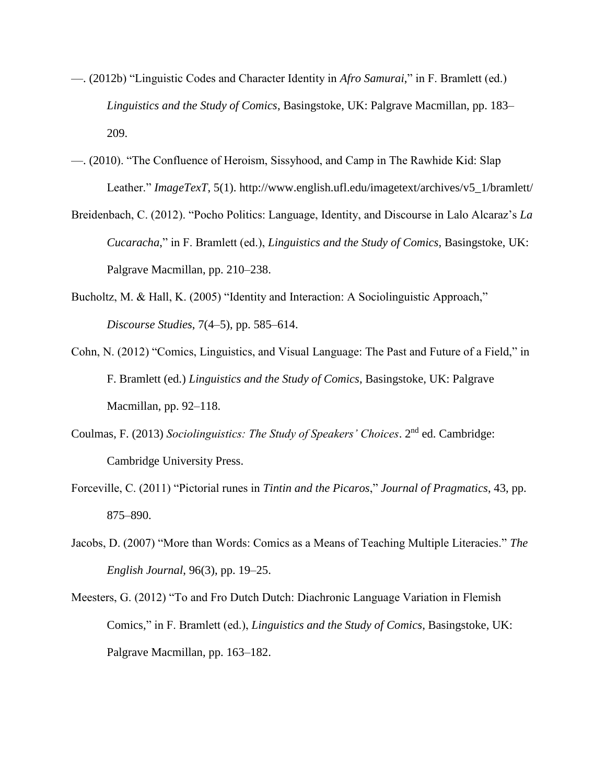- —. (2012b) "Linguistic Codes and Character Identity in *Afro Samurai*," in F. Bramlett (ed.) *Linguistics and the Study of Comics*, Basingstoke, UK: Palgrave Macmillan, pp. 183– 209.
- —. (2010). "The Confluence of Heroism, Sissyhood, and Camp in The Rawhide Kid: Slap Leather." *ImageTexT*, 5(1). http://www.english.ufl.edu/imagetext/archives/v5\_1/bramlett/
- Breidenbach, C. (2012). "Pocho Politics: Language, Identity, and Discourse in Lalo Alcaraz's *La Cucaracha*," in F. Bramlett (ed.), *Linguistics and the Study of Comics*, Basingstoke, UK: Palgrave Macmillan, pp. 210–238.
- Bucholtz, M. & Hall, K. (2005) "Identity and Interaction: A Sociolinguistic Approach," *Discourse Studies*, 7(4–5), pp. 585–614.
- Cohn, N. (2012) "Comics, Linguistics, and Visual Language: The Past and Future of a Field," in F. Bramlett (ed.) *Linguistics and the Study of Comics*, Basingstoke, UK: Palgrave Macmillan, pp. 92–118.
- Coulmas, F. (2013) *Sociolinguistics: The Study of Speakers' Choices*. 2nd ed. Cambridge: Cambridge University Press.
- Forceville, C. (2011) "Pictorial runes in *Tintin and the Picaros*," *Journal of Pragmatics*, 43, pp. 875–890.
- Jacobs, D. (2007) "More than Words: Comics as a Means of Teaching Multiple Literacies." *The English Journal*, 96(3), pp. 19–25.
- Meesters, G. (2012) "To and Fro Dutch Dutch: Diachronic Language Variation in Flemish Comics," in F. Bramlett (ed.), *Linguistics and the Study of Comics*, Basingstoke, UK: Palgrave Macmillan, pp. 163–182.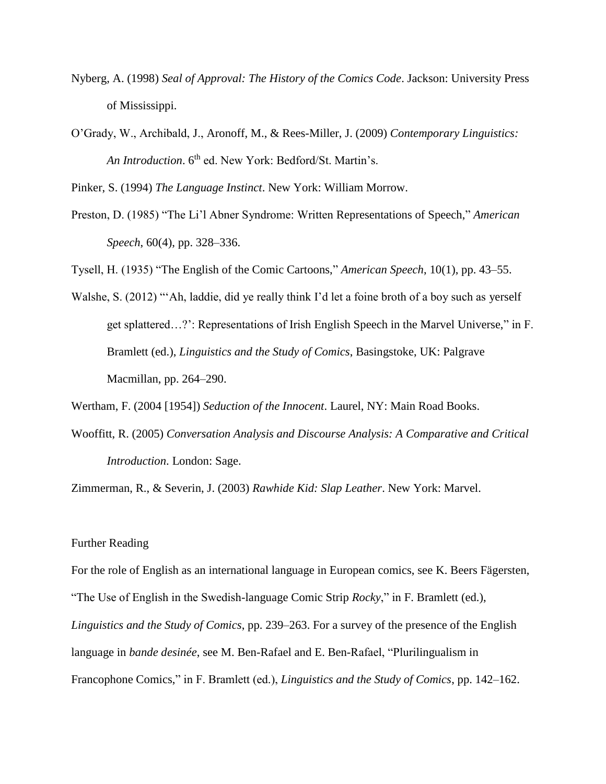- Nyberg, A. (1998) *Seal of Approval: The History of the Comics Code*. Jackson: University Press of Mississippi.
- O'Grady, W., Archibald, J., Aronoff, M., & Rees-Miller, J. (2009) *Contemporary Linguistics:*  An Introduction. 6<sup>th</sup> ed. New York: Bedford/St. Martin's.

Pinker, S. (1994) *The Language Instinct*. New York: William Morrow.

Preston, D. (1985) "The Li'l Abner Syndrome: Written Representations of Speech," *American Speech*, 60(4), pp. 328–336.

Tysell, H. (1935) "The English of the Comic Cartoons," *American Speech*, 10(1), pp. 43–55.

- Walshe, S. (2012) "Ah, laddie, did ye really think I'd let a foine broth of a boy such as yerself get splattered…?': Representations of Irish English Speech in the Marvel Universe," in F. Bramlett (ed.), *Linguistics and the Study of Comics*, Basingstoke, UK: Palgrave Macmillan, pp. 264–290.
- Wertham, F. (2004 [1954]) *Seduction of the Innocent*. Laurel, NY: Main Road Books.
- Wooffitt, R. (2005) *Conversation Analysis and Discourse Analysis: A Comparative and Critical Introduction*. London: Sage.

Zimmerman, R., & Severin, J. (2003) *Rawhide Kid: Slap Leather*. New York: Marvel.

#### Further Reading

For the role of English as an international language in European comics, see K. Beers Fägersten, "The Use of English in the Swedish-language Comic Strip *Rocky*," in F. Bramlett (ed.), *Linguistics and the Study of Comics*, pp. 239–263. For a survey of the presence of the English language in *bande desinée*, see M. Ben-Rafael and E. Ben-Rafael, "Plurilingualism in Francophone Comics," in F. Bramlett (ed.), *Linguistics and the Study of Comics*, pp. 142–162.